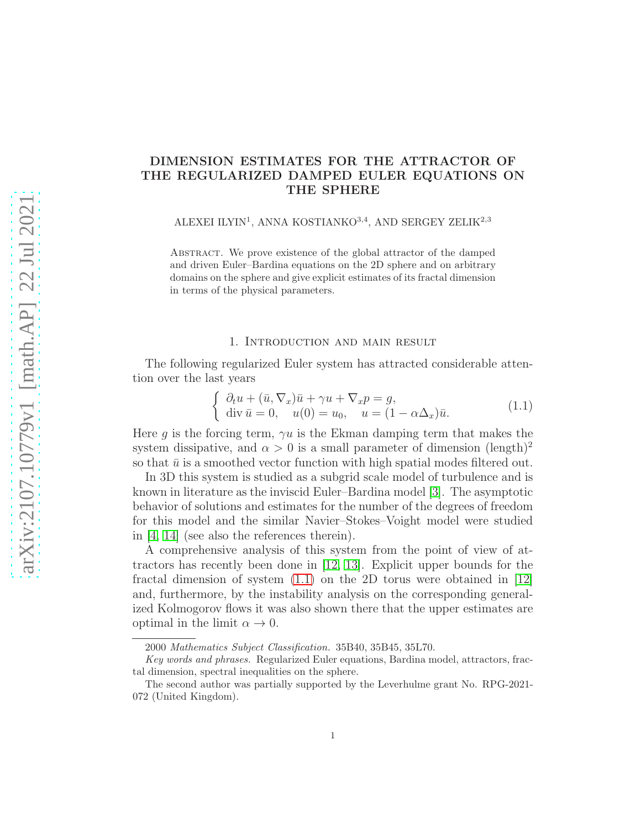# DIMENSION ESTIMATES FOR THE ATTRACTOR OF THE REGULARIZED DAMPED EULER EQUATIONS ON THE SPHERE

ALEXEI ILYIN<sup>1</sup>, ANNA KOSTIANKO<sup>3,4</sup>, AND SERGEY ZELIK<sup>2,3</sup>

Abstract. We prove existence of the global attractor of the damped and driven Euler–Bardina equations on the 2D sphere and on arbitrary domains on the sphere and give explicit estimates of its fractal dimension in terms of the physical parameters.

#### 1. Introduction and main result

The following regularized Euler system has attracted considerable attention over the last years

<span id="page-0-0"></span>
$$
\begin{cases}\n\partial_t u + (\bar{u}, \nabla_x) \bar{u} + \gamma u + \nabla_x p = g, \\
\text{div } \bar{u} = 0, \quad u(0) = u_0, \quad u = (1 - \alpha \Delta_x) \bar{u}.\n\end{cases}
$$
\n(1.1)

Here q is the forcing term,  $\gamma u$  is the Ekman damping term that makes the system dissipative, and  $\alpha > 0$  is a small parameter of dimension (length)<sup>2</sup> so that  $\bar{u}$  is a smoothed vector function with high spatial modes filtered out.

In 3D this system is studied as a subgrid scale model of turbulence and is known in literature as the inviscid Euler–Bardina model [\[3\]](#page-13-0). The asymptotic behavior of solutions and estimates for the number of the degrees of freedom for this model and the similar Navier–Stokes–Voight model were studied in [\[4,](#page-13-1) [14\]](#page-13-2) (see also the references therein).

A comprehensive analysis of this system from the point of view of attractors has recently been done in [\[12,](#page-13-3) [13\]](#page-13-4). Explicit upper bounds for the fractal dimension of system  $(1.1)$  on the 2D torus were obtained in  $|12|$ and, furthermore, by the instability analysis on the corresponding generalized Kolmogorov flows it was also shown there that the upper estimates are optimal in the limit  $\alpha \to 0$ .

<sup>2000</sup> Mathematics Subject Classification. 35B40, 35B45, 35L70.

Key words and phrases. Regularized Euler equations, Bardina model, attractors, fractal dimension, spectral inequalities on the sphere.

The second author was partially supported by the Leverhulme grant No. RPG-2021- 072 (United Kingdom).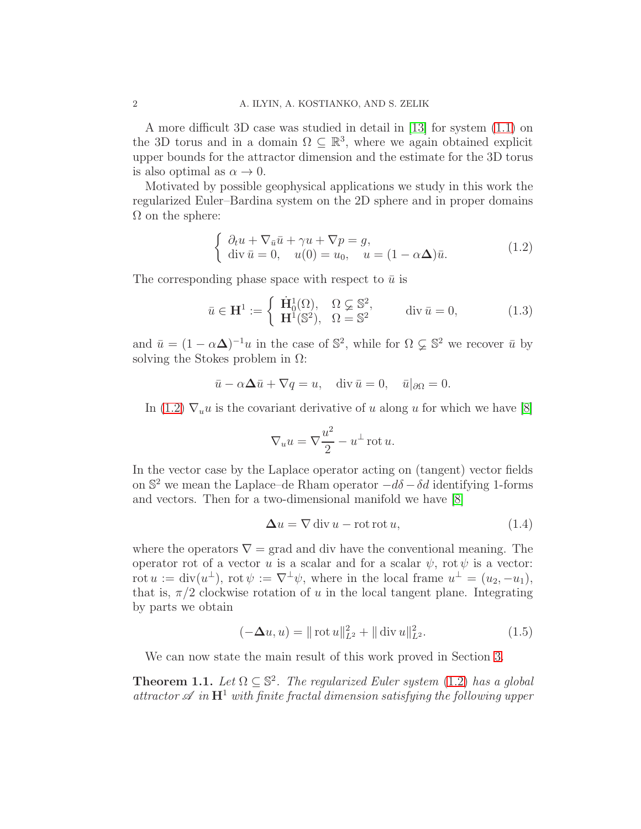A more difficult 3D case was studied in detail in [\[13\]](#page-13-4) for system [\(1.1\)](#page-0-0) on the 3D torus and in a domain  $\Omega \subseteq \mathbb{R}^3$ , where we again obtained explicit upper bounds for the attractor dimension and the estimate for the 3D torus is also optimal as  $\alpha \to 0$ .

Motivated by possible geophysical applications we study in this work the regularized Euler–Bardina system on the 2D sphere and in proper domains  $\Omega$  on the sphere:

<span id="page-1-0"></span>
$$
\begin{cases}\n\partial_t u + \nabla_{\bar{u}} \bar{u} + \gamma u + \nabla p = g, \\
\text{div } \bar{u} = 0, \quad u(0) = u_0, \quad u = (1 - \alpha \Delta) \bar{u}.\n\end{cases}
$$
\n(1.2)

The corresponding phase space with respect to  $\bar{u}$  is

$$
\bar{u} \in \mathbf{H}^1 := \begin{cases} \n\dot{\mathbf{H}}_0^1(\Omega), & \Omega \subsetneq \mathbb{S}^2, \\ \n\mathbf{H}^1(\mathbb{S}^2), & \Omega = \mathbb{S}^2 \n\end{cases} \quad \text{div } \bar{u} = 0,\n\tag{1.3}
$$

and  $\bar{u} = (1 - \alpha \Delta)^{-1} u$  in the case of  $\mathbb{S}^2$ , while for  $\Omega \subsetneq \mathbb{S}^2$  we recover  $\bar{u}$  by solving the Stokes problem in  $\Omega$ :

$$
\bar{u} - \alpha \Delta \bar{u} + \nabla q = u
$$
, div  $\bar{u} = 0$ ,  $\bar{u}|_{\partial \Omega} = 0$ .

In [\(1.2\)](#page-1-0)  $\nabla_u u$  is the covariant derivative of u along u for which we have [\[8\]](#page-13-5)

$$
\nabla_u u = \nabla \frac{u^2}{2} - u^{\perp} \operatorname{rot} u.
$$

In the vector case by the Laplace operator acting on (tangent) vector fields on  $\mathbb{S}^2$  we mean the Laplace–de Rham operator  $-d\delta - \delta d$  identifying 1-forms and vectors. Then for a two-dimensional manifold we have [\[8\]](#page-13-5)

$$
\Delta u = \nabla \operatorname{div} u - \operatorname{rot} \operatorname{rot} u,\tag{1.4}
$$

where the operators  $\nabla$  = grad and div have the conventional meaning. The operator rot of a vector u is a scalar and for a scalar  $\psi$ , rot  $\psi$  is a vector: rot  $u := \text{div}(u^{\perp}), \text{ rot } \psi := \nabla^{\perp} \psi, \text{ where in the local frame } u^{\perp} = (u_2, -u_1),$ that is,  $\pi/2$  clockwise rotation of u in the local tangent plane. Integrating by parts we obtain

<span id="page-1-1"></span>
$$
(-\Delta u, u) = || \cot u ||_{L^2}^2 + || \operatorname{div} u ||_{L^2}^2. \tag{1.5}
$$

We can now state the main result of this work proved in Section [3.](#page-6-0)

<span id="page-1-2"></span>**Theorem 1.1.** Let  $\Omega \subseteq \mathbb{S}^2$ . The regularized Euler system [\(1.2\)](#page-1-0) has a global attractor  $\mathscr A$  in  $\mathbb H^1$  with finite fractal dimension satisfying the following upper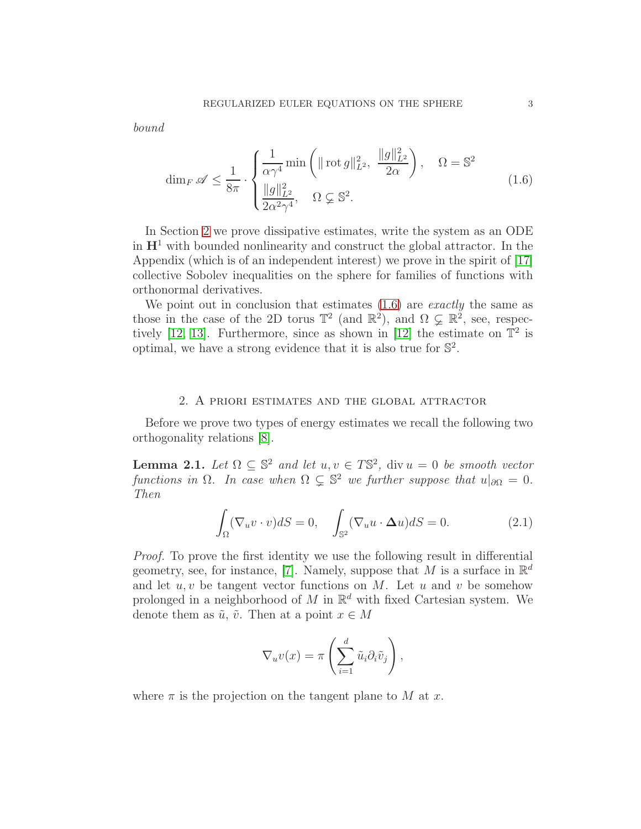bound

<span id="page-2-1"></span>
$$
\dim_F \mathscr{A} \le \frac{1}{8\pi} \cdot \begin{cases} \frac{1}{\alpha \gamma^4} \min\left( \|\operatorname{rot} g\|_{L^2}^2, \ \frac{\|g\|_{L^2}^2}{2\alpha} \right), & \Omega = \mathbb{S}^2\\ \frac{\|g\|_{L^2}^2}{2\alpha^2 \gamma^4}, & \Omega \subsetneq \mathbb{S}^2. \end{cases}
$$
(1.6)

In Section [2](#page-2-0) we prove dissipative estimates, write the system as an ODE in  $\mathbf{H}^1$  with bounded nonlinearity and construct the global attractor. In the Appendix (which is of an independent interest) we prove in the spirit of [\[17\]](#page-14-0) collective Sobolev inequalities on the sphere for families of functions with orthonormal derivatives.

We point out in conclusion that estimates  $(1.6)$  are *exactly* the same as those in the case of the 2D torus  $\mathbb{T}^2$  (and  $\mathbb{R}^2$ ), and  $\Omega \subsetneq \mathbb{R}^2$ , see, respec-tively [\[12,](#page-13-3) [13\]](#page-13-4). Furthermore, since as shown in [\[12\]](#page-13-3) the estimate on  $\mathbb{T}^2$  is optimal, we have a strong evidence that it is also true for  $\mathbb{S}^2$ .

### 2. A priori estimates and the global attractor

<span id="page-2-0"></span>Before we prove two types of energy estimates we recall the following two orthogonality relations [\[8\]](#page-13-5).

**Lemma 2.1.** Let  $\Omega \subseteq \mathbb{S}^2$  and let  $u, v \in T\mathbb{S}^2$ , div  $u = 0$  be smooth vector functions in  $\Omega$ . In case when  $\Omega \subsetneq \mathbb{S}^2$  we further suppose that  $u|_{\partial\Omega} = 0$ . Then

<span id="page-2-2"></span>
$$
\int_{\Omega} (\nabla_u v \cdot v) dS = 0, \quad \int_{\mathbb{S}^2} (\nabla_u u \cdot \Delta u) dS = 0.
$$
 (2.1)

Proof. To prove the first identity we use the following result in differential geometry, see, for instance, [\[7\]](#page-13-6). Namely, suppose that M is a surface in  $\mathbb{R}^d$ and let  $u, v$  be tangent vector functions on M. Let u and v be somehow prolonged in a neighborhood of M in  $\mathbb{R}^d$  with fixed Cartesian system. We denote them as  $\tilde{u}$ ,  $\tilde{v}$ . Then at a point  $x \in M$ 

$$
\nabla_u v(x) = \pi \left( \sum_{i=1}^d \tilde{u}_i \partial_i \tilde{v}_j \right),
$$

where  $\pi$  is the projection on the tangent plane to M at x.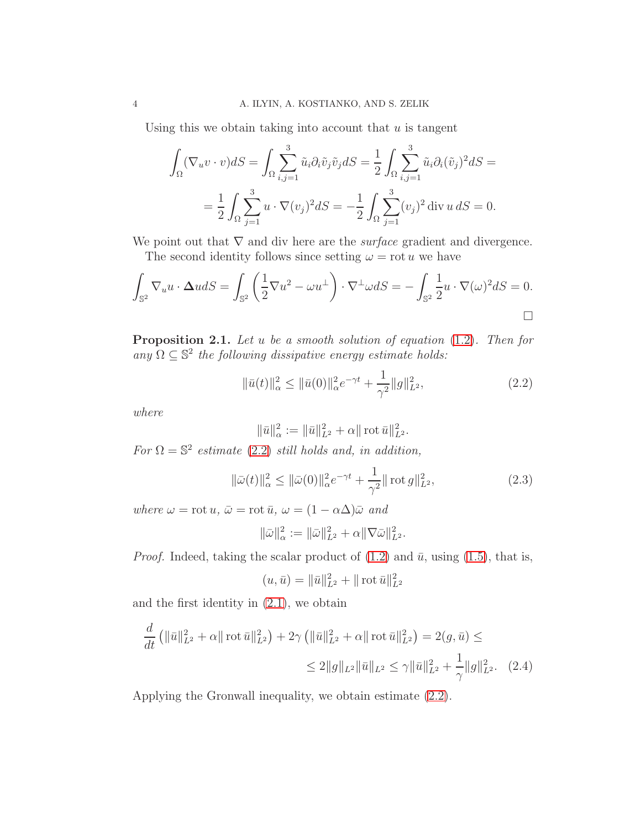Using this we obtain taking into account that  $u$  is tangent

$$
\int_{\Omega} (\nabla_u v \cdot v) dS = \int_{\Omega} \sum_{i,j=1}^3 \tilde{u}_i \partial_i \tilde{v}_j \tilde{v}_j dS = \frac{1}{2} \int_{\Omega} \sum_{i,j=1}^3 \tilde{u}_i \partial_i (\tilde{v}_j)^2 dS =
$$
  
= 
$$
\frac{1}{2} \int_{\Omega} \sum_{j=1}^3 u \cdot \nabla (v_j)^2 dS = -\frac{1}{2} \int_{\Omega} \sum_{j=1}^3 (v_j)^2 \operatorname{div} u dS = 0.
$$

We point out that  $\nabla$  and div here are the *surface* gradient and divergence. The second identity follows since setting  $\omega = \text{rot } u$  we have

$$
\int_{\mathbb{S}^2} \nabla_u u \cdot \Delta u dS = \int_{\mathbb{S}^2} \left( \frac{1}{2} \nabla u^2 - \omega u^{\perp} \right) \cdot \nabla^{\perp} \omega dS = - \int_{\mathbb{S}^2} \frac{1}{2} u \cdot \nabla (\omega)^2 dS = 0.
$$

Proposition 2.1. Let u be a smooth solution of equation  $(1.2)$ . Then for any  $\Omega \subseteq \mathbb{S}^2$  the following dissipative energy estimate holds:

<span id="page-3-0"></span>
$$
\|\bar{u}(t)\|_{\alpha}^{2} \le \|\bar{u}(0)\|_{\alpha}^{2}e^{-\gamma t} + \frac{1}{\gamma^{2}}\|g\|_{L^{2}}^{2},\tag{2.2}
$$

where

$$
\|\bar{u}\|_{\alpha}^2 := \|\bar{u}\|_{L^2}^2 + \alpha \|\cot \bar{u}\|_{L^2}^2.
$$

For  $\Omega = \mathbb{S}^2$  estimate [\(2.2\)](#page-3-0) still holds and, in addition,

<span id="page-3-1"></span>
$$
\|\bar{\omega}(t)\|_{\alpha}^{2} \le \|\bar{\omega}(0)\|_{\alpha}^{2} e^{-\gamma t} + \frac{1}{\gamma^{2}} \|\operatorname{rot} g\|_{L^{2}}^{2},\tag{2.3}
$$

where  $\omega = \text{rot } u$ ,  $\bar{\omega} = \text{rot } \bar{u}$ ,  $\omega = (1 - \alpha \Delta) \bar{\omega}$  and

$$
\|\bar{\omega}\|_{\alpha}^2 := \|\bar{\omega}\|_{L^2}^2 + \alpha \|\nabla \bar{\omega}\|_{L^2}^2.
$$

*Proof.* Indeed, taking the scalar product of  $(1.2)$  and  $\bar{u}$ , using  $(1.5)$ , that is,

<span id="page-3-2"></span>
$$
(u, \bar{u}) = \|\bar{u}\|_{L^2}^2 + \|\cot \bar{u}\|_{L^2}^2
$$

and the first identity in  $(2.1)$ , we obtain

$$
\frac{d}{dt} \left( \|\bar{u}\|_{L^2}^2 + \alpha \| \operatorname{rot} \bar{u} \|_{L^2}^2 \right) + 2\gamma \left( \|\bar{u}\|_{L^2}^2 + \alpha \| \operatorname{rot} \bar{u} \|_{L^2}^2 \right) = 2(g, \bar{u}) \le
$$
  

$$
\leq 2 \|g\|_{L^2} \|\bar{u}\|_{L^2} \leq \gamma \|\bar{u}\|_{L^2}^2 + \frac{1}{\gamma} \|g\|_{L^2}^2. \tag{2.4}
$$

Applying the Gronwall inequality, we obtain estimate [\(2.2\)](#page-3-0).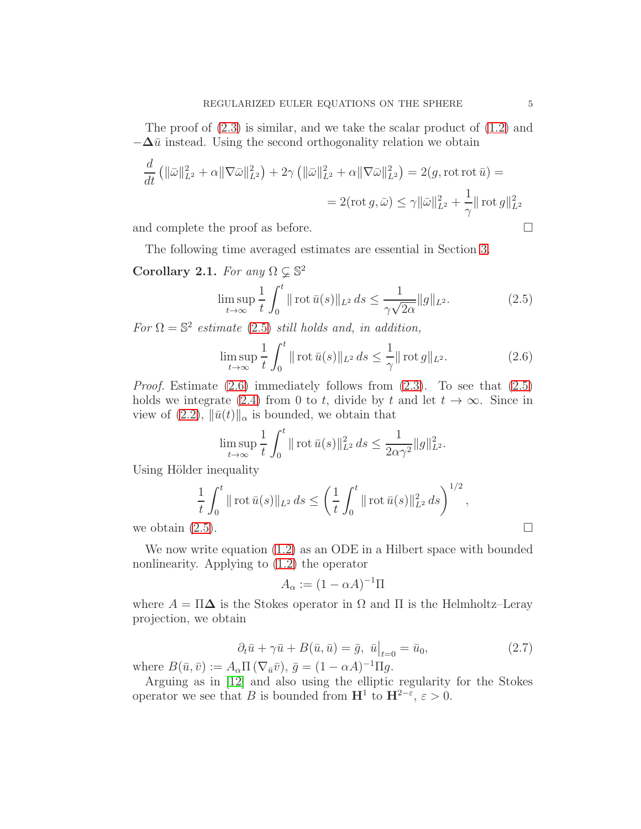The proof of  $(2.3)$  is similar, and we take the scalar product of  $(1.2)$  and  $-\Delta\bar{u}$  instead. Using the second orthogonality relation we obtain

$$
\frac{d}{dt} \left( \|\bar{\omega}\|_{L^2}^2 + \alpha \|\nabla \bar{\omega}\|_{L^2}^2 \right) + 2\gamma \left( \|\bar{\omega}\|_{L^2}^2 + \alpha \|\nabla \bar{\omega}\|_{L^2}^2 \right) = 2(g, \text{rot rot } \bar{u}) =
$$
  
= 2(\text{rot } g, \bar{\omega}) \le \gamma \|\bar{\omega}\|\_{L^2}^2 + \frac{1}{\gamma} \|\text{rot } g\|\_{L^2}^2

and complete the proof as before.

The following time averaged estimates are essential in Section [3.](#page-6-0)

Corollary 2.1. For any 
$$
\Omega \subsetneq \mathbb{S}^2
$$
  
\n
$$
\limsup_{t \to \infty} \frac{1}{t} \int_0^t ||\operatorname{rot} \bar{u}(s)||_{L^2} ds \le \frac{1}{\gamma \sqrt{2\alpha}} ||g||_{L^2}.
$$
\n(2.5)

For  $\Omega = \mathbb{S}^2$  estimate [\(2.5\)](#page-4-0) still holds and, in addition,

<span id="page-4-1"></span><span id="page-4-0"></span>
$$
\limsup_{t \to \infty} \frac{1}{t} \int_0^t \| \operatorname{rot} \bar{u}(s) \|_{L^2} ds \le \frac{1}{\gamma} \| \operatorname{rot} g \|_{L^2}.
$$
 (2.6)

*Proof.* Estimate  $(2.6)$  immediately follows from  $(2.3)$ . To see that  $(2.5)$ holds we integrate [\(2.4\)](#page-3-2) from 0 to t, divide by t and let  $t \to \infty$ . Since in view of  $(2.2)$ ,  $\|\bar{u}(t)\|_{\alpha}$  is bounded, we obtain that

$$
\limsup_{t \to \infty} \frac{1}{t} \int_0^t \| \operatorname{rot} \bar{u}(s) \|_{L^2}^2 ds \le \frac{1}{2\alpha \gamma^2} \| g \|_{L^2}^2.
$$

Using Hölder inequality

$$
\frac{1}{t} \int_0^t ||\cot \bar{u}(s)||_{L^2} ds \le \left(\frac{1}{t} \int_0^t ||\cot \bar{u}(s)||_{L^2}^2 ds\right)^{1/2},
$$
  
we obtain (2.5).

We now write equation [\(1.2\)](#page-1-0) as an ODE in a Hilbert space with bounded nonlinearity. Applying to [\(1.2\)](#page-1-0) the operator

$$
A_{\alpha} := (1 - \alpha A)^{-1} \Pi
$$

where  $A = \Pi \Delta$  is the Stokes operator in  $\Omega$  and  $\Pi$  is the Helmholtz–Leray projection, we obtain

<span id="page-4-2"></span>
$$
\partial_t \bar{u} + \gamma \bar{u} + B(\bar{u}, \bar{u}) = \bar{g}, \ \bar{u}\big|_{t=0} = \bar{u}_0,\tag{2.7}
$$

where  $B(\bar{u}, \bar{v}) := A_{\alpha} \Pi\left(\nabla_{\bar{u}}\bar{v}\right), \bar{g} = (1 - \alpha A)^{-1} \Pi g.$ 

Arguing as in [\[12\]](#page-13-3) and also using the elliptic regularity for the Stokes operator we see that B is bounded from  $\mathbf{H}^1$  to  $\mathbf{H}^{2-\varepsilon}$ ,  $\varepsilon > 0$ .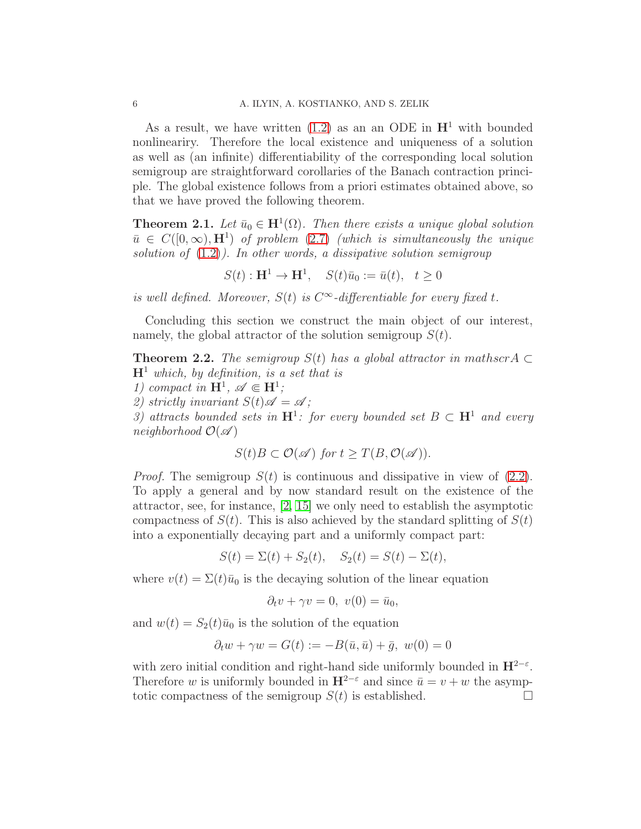As a result, we have written  $(1.2)$  as an an ODE in  $\mathbf{H}^1$  with bounded nonlineariry. Therefore the local existence and uniqueness of a solution as well as (an infinite) differentiability of the corresponding local solution semigroup are straightforward corollaries of the Banach contraction principle. The global existence follows from a priori estimates obtained above, so that we have proved the following theorem.

**Theorem 2.1.** Let  $\bar{u}_0 \in \mathbf{H}^1(\Omega)$ . Then there exists a unique global solution  $\bar{u} \in C([0,\infty), H^1)$  of problem [\(2.7\)](#page-4-2) (which is simultaneously the unique solution of  $(1.2)$ ). In other words, a dissipative solution semigroup

$$
S(t): \mathbf{H}^1 \to \mathbf{H}^1, \quad S(t)\bar{u}_0 := \bar{u}(t), \quad t \ge 0
$$

is well defined. Moreover,  $S(t)$  is  $C^{\infty}$ -differentiable for every fixed t.

Concluding this section we construct the main object of our interest, namely, the global attractor of the solution semigroup  $S(t)$ .

**Theorem 2.2.** The semigroup  $S(t)$  has a global attractor in mathscr A  $\subset$  $H^1$  which, by definition, is a set that is

1) compact in  $\mathbf{H}^1$ ,  $\mathscr{A} \in \mathbf{H}^1$ ;

2) strictly invariant  $S(t)\mathscr{A} = \mathscr{A}$ ;

3) attracts bounded sets in  $\mathbf{H}^1$ : for every bounded set  $B \subset \mathbf{H}^1$  and every neighborhood  $\mathcal{O}(\mathscr{A})$ 

$$
S(t)B\subset \mathcal{O}(\mathscr{A})\text{ for }t\geq T(B,\mathcal{O}(\mathscr{A})).
$$

*Proof.* The semigroup  $S(t)$  is continuous and dissipative in view of [\(2.2\)](#page-3-0). To apply a general and by now standard result on the existence of the attractor, see, for instance, [\[2,](#page-13-7) [15\]](#page-13-8) we only need to establish the asymptotic compactness of  $S(t)$ . This is also achieved by the standard splitting of  $S(t)$ into a exponentially decaying part and a uniformly compact part:

 $S(t) = \Sigma(t) + S_2(t), S_2(t) = S(t) - \Sigma(t),$ 

where  $v(t) = \Sigma(t)\bar{u}_0$  is the decaying solution of the linear equation

$$
\partial_t v + \gamma v = 0, \ v(0) = \bar{u}_0,
$$

and  $w(t) = S_2(t)\overline{u}_0$  is the solution of the equation

$$
\partial_t w + \gamma w = G(t) := -B(\bar{u}, \bar{u}) + \bar{g}, \ w(0) = 0
$$

with zero initial condition and right-hand side uniformly bounded in  $\mathbf{H}^{2-\epsilon}$ . Therefore w is uniformly bounded in  $\mathbf{H}^{2-\epsilon}$  and since  $\bar{u} = v + w$  the asymptotic compactness of the semigroup  $S(t)$  is established.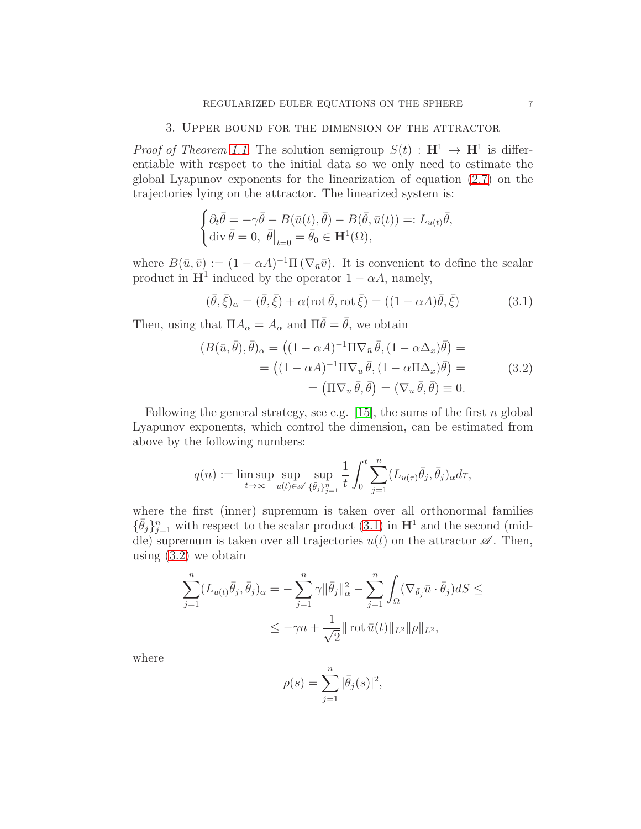#### 3. Upper bound for the dimension of the attractor

<span id="page-6-0"></span>*Proof of Theorem [1.1.](#page-1-2)* The solution semigroup  $S(t) : \mathbf{H}^1 \to \mathbf{H}^1$  is differentiable with respect to the initial data so we only need to estimate the global Lyapunov exponents for the linearization of equation [\(2.7\)](#page-4-2) on the trajectories lying on the attractor. The linearized system is:

$$
\begin{cases} \partial_t \bar{\theta} = -\gamma \bar{\theta} - B(\bar{u}(t), \bar{\theta}) - B(\bar{\theta}, \bar{u}(t)) =: L_{u(t)} \bar{\theta}, \\ \operatorname{div} \bar{\theta} = 0, \ \bar{\theta} \vert_{t=0} = \bar{\theta}_0 \in \mathbf{H}^1(\Omega), \end{cases}
$$

where  $B(\bar{u}, \bar{v}) := (1 - \alpha A)^{-1} \Pi(\nabla_{\bar{u}} \bar{v})$ . It is convenient to define the scalar product in  $\mathbf{H}^1$  induced by the operator  $1 - \alpha A$ , namely,

<span id="page-6-1"></span>
$$
(\bar{\theta}, \bar{\xi})_{\alpha} = (\bar{\theta}, \bar{\xi}) + \alpha (\operatorname{rot} \bar{\theta}, \operatorname{rot} \bar{\xi}) = ((1 - \alpha A)\bar{\theta}, \bar{\xi})
$$
(3.1)

Then, using that  $\Pi A_{\alpha} = A_{\alpha}$  and  $\Pi \overline{\theta} = \overline{\theta}$ , we obtain

<span id="page-6-2"></span>
$$
(B(\bar{u}, \bar{\theta}), \bar{\theta})_{\alpha} = ((1 - \alpha A)^{-1} \Pi \nabla_{\bar{u}} \bar{\theta}, (1 - \alpha \Delta_x) \bar{\theta}) =
$$
  

$$
= ((1 - \alpha A)^{-1} \Pi \nabla_{\bar{u}} \bar{\theta}, (1 - \alpha \Pi \Delta_x) \bar{\theta}) =
$$
  

$$
= (\Pi \nabla_{\bar{u}} \bar{\theta}, \bar{\theta}) = (\nabla_{\bar{u}} \bar{\theta}, \bar{\theta}) \equiv 0.
$$
 (3.2)

Following the general strategy, see e.g. [\[15\]](#page-13-8), the sums of the first  $n$  global Lyapunov exponents, which control the dimension, can be estimated from above by the following numbers:

$$
q(n) := \limsup_{t \to \infty} \sup_{u(t) \in \mathscr{A}} \sup_{\{\bar{\theta}_j\}_{j=1}^n} \frac{1}{t} \int_0^t \sum_{j=1}^n (L_{u(\tau)} \bar{\theta}_j, \bar{\theta}_j)_{\alpha} d\tau,
$$

where the first (inner) supremum is taken over all orthonormal families  $\{\bar{\theta}_j\}_{j=1}^n$  with respect to the scalar product  $(3.1)$  in  $\mathbf{H}^1$  and the second (middle) supremum is taken over all trajectories  $u(t)$  on the attractor  $\mathscr A$ . Then, using  $(3.2)$  we obtain

$$
\sum_{j=1}^{n} (L_{u(t)}\bar{\theta}_j, \bar{\theta}_j)_{\alpha} = -\sum_{j=1}^{n} \gamma ||\bar{\theta}_j||_{\alpha}^2 - \sum_{j=1}^{n} \int_{\Omega} (\nabla_{\bar{\theta}_j} \bar{u} \cdot \bar{\theta}_j) dS \le
$$
  

$$
\le -\gamma n + \frac{1}{\sqrt{2}} || \operatorname{rot} \bar{u}(t) ||_{L^2} ||\rho||_{L^2},
$$

where

$$
\rho(s) = \sum_{j=1}^{n} |\bar{\theta}_{j}(s)|^{2},
$$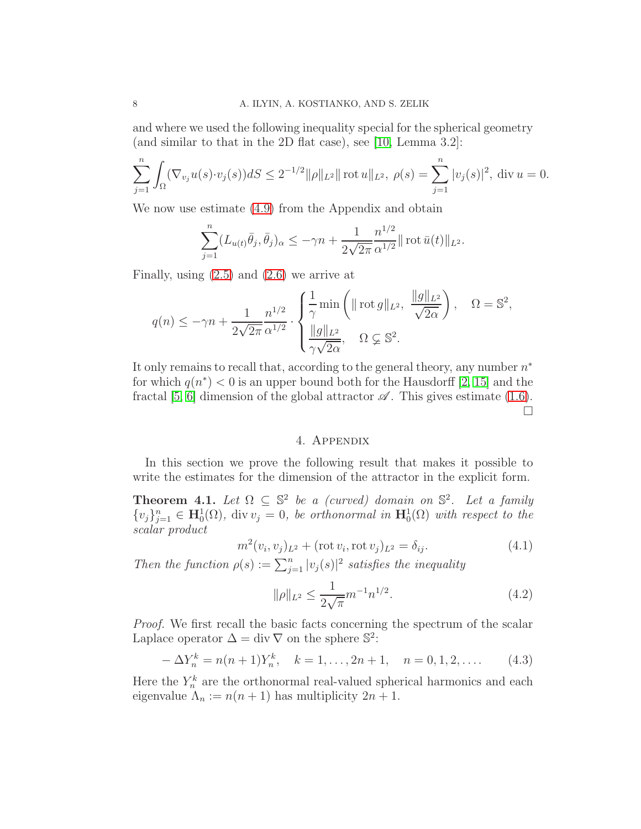and where we used the following inequality special for the spherical geometry (and similar to that in the 2D flat case), see [\[10,](#page-13-9) Lemma 3.2]:

$$
\sum_{j=1}^{n} \int_{\Omega} (\nabla_{v_j} u(s) \cdot v_j(s)) dS \le 2^{-1/2} \|\rho\|_{L^2} \|\text{rot } u\|_{L^2}, \ \rho(s) = \sum_{j=1}^{n} |v_j(s)|^2, \ \text{div } u = 0.
$$

We now use estimate [\(4.9\)](#page-10-0) from the Appendix and obtain

$$
\sum_{j=1}^{n} (L_{u(t)}\bar{\theta}_j, \bar{\theta}_j)_{\alpha} \le -\gamma n + \frac{1}{2\sqrt{2\pi}} \frac{n^{1/2}}{\alpha^{1/2}} || \operatorname{rot} \bar{u}(t) ||_{L^2}.
$$

Finally, using [\(2.5\)](#page-4-0) and [\(2.6\)](#page-4-1) we arrive at

$$
q(n) \le -\gamma n + \frac{1}{2\sqrt{2\pi}} \frac{n^{1/2}}{\alpha^{1/2}} \cdot \begin{cases} \frac{1}{\gamma} \min\left( \|\cot g\|_{L^2}, \ \frac{\|g\|_{L^2}}{\sqrt{2\alpha}} \right), & \Omega = \mathbb{S}^2, \\ \frac{\|g\|_{L^2}}{\gamma \sqrt{2\alpha}}, & \Omega \subsetneq \mathbb{S}^2. \end{cases}
$$

It only remains to recall that, according to the general theory, any number  $n^*$ for which  $q(n^*) < 0$  is an upper bound both for the Hausdorff [\[2,](#page-13-7) [15\]](#page-13-8) and the fractal [\[5,](#page-13-10) [6\]](#page-13-11) dimension of the global attractor  $\mathscr A$ . This gives estimate [\(1.6\)](#page-2-1). П

## 4. Appendix

In this section we prove the following result that makes it possible to write the estimates for the dimension of the attractor in the explicit form.

<span id="page-7-2"></span>**Theorem 4.1.** Let  $\Omega \subseteq \mathbb{S}^2$  be a (curved) domain on  $\mathbb{S}^2$ . Let a family  $\{v_j\}_{j=1}^n \in \mathbf{H}_0^1(\Omega)$ , div  $v_j = 0$ , be orthonormal in  $\mathbf{H}_0^1(\Omega)$  with respect to the scalar product

<span id="page-7-0"></span>
$$
m^{2}(v_{i}, v_{j})_{L^{2}} + (\text{rot } v_{i}, \text{rot } v_{j})_{L^{2}} = \delta_{ij}.
$$
\n(4.1)

Then the function  $\rho(s) := \sum_{j=1}^n |v_j(s)|^2$  satisfies the inequality

<span id="page-7-1"></span>
$$
\|\rho\|_{L^2} \le \frac{1}{2\sqrt{\pi}} m^{-1} n^{1/2}.
$$
\n(4.2)

Proof. We first recall the basic facts concerning the spectrum of the scalar Laplace operator  $\Delta = \text{div } \nabla$  on the sphere  $\mathbb{S}^2$ :

$$
-\Delta Y_n^k = n(n+1)Y_n^k, \quad k = 1, \dots, 2n+1, \quad n = 0, 1, 2, \dots \tag{4.3}
$$

Here the  $Y_n^k$  are the orthonormal real-valued spherical harmonics and each eigenvalue  $\Lambda_n := n(n+1)$  has multiplicity  $2n + 1$ .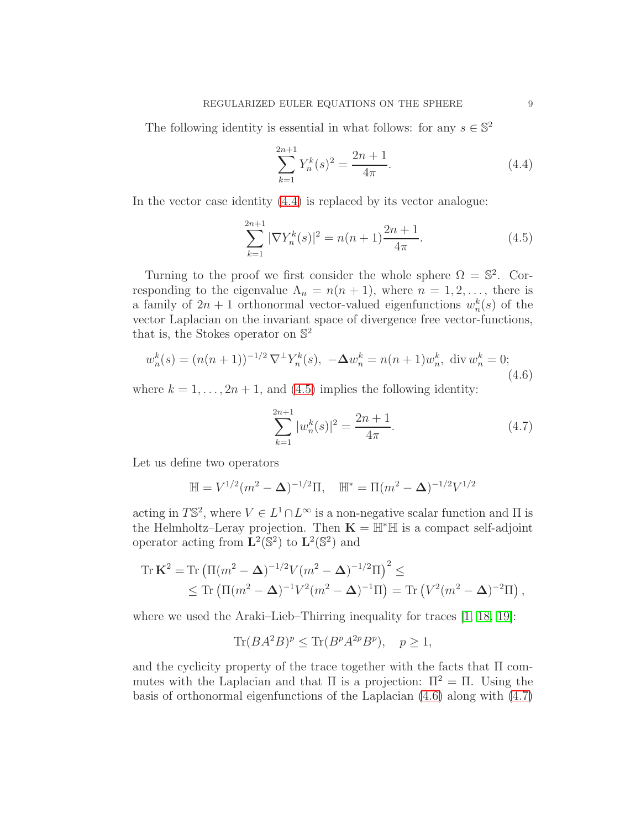The following identity is essential in what follows: for any  $s \in \mathbb{S}^2$ 

<span id="page-8-0"></span>
$$
\sum_{k=1}^{2n+1} Y_n^k(s)^2 = \frac{2n+1}{4\pi}.
$$
\n(4.4)

In the vector case identity [\(4.4\)](#page-8-0) is replaced by its vector analogue:

<span id="page-8-1"></span>
$$
\sum_{k=1}^{2n+1} |\nabla Y_n^k(s)|^2 = n(n+1)\frac{2n+1}{4\pi}.\tag{4.5}
$$

Turning to the proof we first consider the whole sphere  $\Omega = \mathbb{S}^2$ . Corresponding to the eigenvalue  $\Lambda_n = n(n + 1)$ , where  $n = 1, 2, \ldots$ , there is a family of  $2n + 1$  orthonormal vector-valued eigenfunctions  $w_n^k(s)$  of the vector Laplacian on the invariant space of divergence free vector-functions, that is, the Stokes operator on  $\mathbb{S}^2$ 

<span id="page-8-2"></span>
$$
w_n^k(s) = (n(n+1))^{-1/2} \nabla^{\perp} Y_n^k(s), \ -\Delta w_n^k = n(n+1) w_n^k, \ \text{div } w_n^k = 0; \tag{4.6}
$$

where  $k = 1, \ldots, 2n + 1$ , and [\(4.5\)](#page-8-1) implies the following identity:

<span id="page-8-3"></span>
$$
\sum_{k=1}^{2n+1} |w_n^k(s)|^2 = \frac{2n+1}{4\pi}.
$$
\n(4.7)

Let us define two operators

$$
\mathbb{H} = V^{1/2} (m^2 - \Delta)^{-1/2} \Pi, \quad \mathbb{H}^* = \Pi (m^2 - \Delta)^{-1/2} V^{1/2}
$$

acting in  $T\mathbb{S}^2$ , where  $V \in L^1 \cap L^\infty$  is a non-negative scalar function and  $\Pi$  is the Helmholtz–Leray projection. Then  $\mathbf{K} = \mathbb{H}^* \mathbb{H}$  is a compact self-adjoint operator acting from  $\mathbf{L}^2(\mathbb{S}^2)$  to  $\mathbf{L}^2(\mathbb{S}^2)$  and

Tr 
$$
\mathbf{K}^2
$$
 = Tr  $(\Pi(m^2 - \Delta)^{-1/2}V(m^2 - \Delta)^{-1/2}\Pi)^2 \le$   
  $\le$  Tr  $(\Pi(m^2 - \Delta)^{-1}V^2(m^2 - \Delta)^{-1}\Pi) =$  Tr  $(V^2(m^2 - \Delta)^{-2}\Pi)$ ,

where we used the Araki–Lieb–Thirring inequality for traces [\[1,](#page-13-12) [18,](#page-14-1) [19\]](#page-14-2):

$$
\text{Tr}(BA^2B)^p \le \text{Tr}(B^pA^{2p}B^p), \quad p \ge 1,
$$

and the cyclicity property of the trace together with the facts that  $\Pi$  commutes with the Laplacian and that  $\Pi$  is a projection:  $\Pi^2 = \Pi$ . Using the basis of orthonormal eigenfunctions of the Laplacian [\(4.6\)](#page-8-2) along with [\(4.7\)](#page-8-3)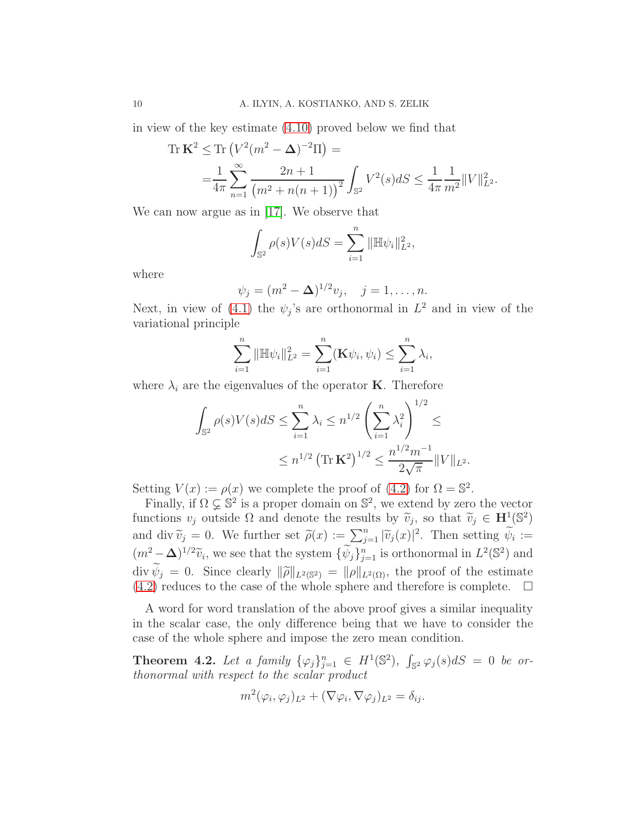in view of the key estimate [\(4.10\)](#page-10-1) proved below we find that

Tr 
$$
\mathbf{K}^2 \leq \text{Tr}\left(V^2(m^2 - \Delta)^{-2}\Pi\right) =
$$
  
=  $\frac{1}{4\pi} \sum_{n=1}^{\infty} \frac{2n+1}{(m^2 + n(n+1))^2} \int_{\mathbb{S}^2} V^2(s) dS \leq \frac{1}{4\pi} \frac{1}{m^2} ||V||_{L^2}^2.$ 

We can now argue as in [\[17\]](#page-14-0). We observe that

$$
\int_{\mathbb{S}^2} \rho(s) V(s) dS = \sum_{i=1}^n \|\mathbb{H} \psi_i\|_{L^2}^2,
$$

where

$$
\psi_j = (m^2 - \Delta)^{1/2} v_j, \quad j = 1, ..., n.
$$

Next, in view of [\(4.1\)](#page-7-0) the  $\psi_j$ 's are orthonormal in  $L^2$  and in view of the variational principle

$$
\sum_{i=1}^{n} \|\mathbb{H}\psi_i\|_{L^2}^2 = \sum_{i=1}^{n} (\mathbf{K}\psi_i, \psi_i) \le \sum_{i=1}^{n} \lambda_i,
$$

where  $\lambda_i$  are the eigenvalues of the operator **K**. Therefore

$$
\int_{\mathbb{S}^2} \rho(s)V(s)dS \le \sum_{i=1}^n \lambda_i \le n^{1/2} \left(\sum_{i=1}^n \lambda_i^2\right)^{1/2} \le
$$
  

$$
\le n^{1/2} \left(\text{Tr }\mathbf{K}^2\right)^{1/2} \le \frac{n^{1/2}m^{-1}}{2\sqrt{\pi}} \|V\|_{L^2}.
$$

Setting  $V(x) := \rho(x)$  we complete the proof of [\(4.2\)](#page-7-1) for  $\Omega = \mathbb{S}^2$ .

Finally, if  $\Omega \subsetneq \mathbb{S}^2$  is a proper domain on  $\mathbb{S}^2$ , we extend by zero the vector functions  $v_j$  outside  $\Omega$  and denote the results by  $\widetilde{v}_j$ , so that  $\widetilde{v}_j \in \mathbf{H}^1(\mathbb{S}^2)$ and div  $\widetilde{v}_j = 0$ . We further set  $\widetilde{\rho}(x) := \sum_{j=1}^n |\widetilde{v}_j(x)|^2$ . Then setting  $\widetilde{\psi}_i :=$  $(m^2 - \Delta)^{1/2}\tilde{v}_i$ , we see that the system  $\{\psi_j\}_{j=1}^n$  is orthonormal in  $L^2(\mathbb{S}^2)$  and  $\text{div } \psi_j = 0.$  Since clearly  $\|\tilde{\rho}\|_{L^2(\mathbb{S}^2)} = \|\rho\|_{L^2(\Omega)}$ , the proof of the estimate  $(4.2)$  reduces to the case of the whole sphere and therefore is complete.  $\Box$ 

A word for word translation of the above proof gives a similar inequality in the scalar case, the only difference being that we have to consider the case of the whole sphere and impose the zero mean condition.

<span id="page-9-0"></span>**Theorem 4.2.** Let a family  $\{\varphi_j\}_{j=1}^n \in H^1(\mathbb{S}^2)$ ,  $\int_{\mathbb{S}^2} \varphi_j(s) dS = 0$  be orthonormal with respect to the scalar product

$$
m^2(\varphi_i, \varphi_j)_{L^2} + (\nabla \varphi_i, \nabla \varphi_j)_{L^2} = \delta_{ij}.
$$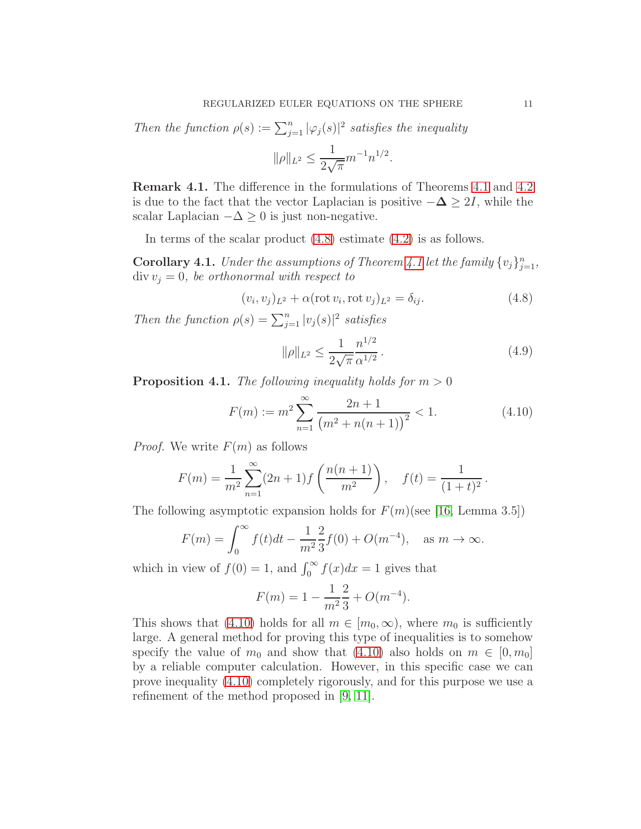Then the function  $\rho(s) := \sum_{j=1}^n |\varphi_j(s)|^2$  satisfies the inequality

$$
\|\rho\|_{L^2} \le \frac{1}{2\sqrt{\pi}} m^{-1} n^{1/2}.
$$

Remark 4.1. The difference in the formulations of Theorems [4.1](#page-7-2) and [4.2](#page-9-0) is due to the fact that the vector Laplacian is positive  $-\Delta \geq 2I$ , while the scalar Laplacian  $-\Delta \geq 0$  is just non-negative.

In terms of the scalar product [\(4.8\)](#page-10-2) estimate [\(4.2\)](#page-7-1) is as follows.

**Corollary [4.1](#page-7-2).** Under the assumptions of Theorem 4.1 let the family  $\{v_j\}_{j=1}^n$ ,  $div v_j = 0$ , be orthonormal with respect to

<span id="page-10-2"></span>
$$
(v_i, v_j)_{L^2} + \alpha (\operatorname{rot} v_i, \operatorname{rot} v_j)_{L^2} = \delta_{ij}.
$$
\n(4.8)

Then the function  $\rho(s) = \sum_{j=1}^{n} |v_j(s)|^2$  satisfies

<span id="page-10-0"></span>
$$
\|\rho\|_{L^2} \le \frac{1}{2\sqrt{\pi}} \frac{n^{1/2}}{\alpha^{1/2}}.
$$
\n(4.9)

**Proposition 4.1.** The following inequality holds for  $m > 0$ 

<span id="page-10-1"></span>
$$
F(m) := m^2 \sum_{n=1}^{\infty} \frac{2n+1}{(m^2 + n(n+1))^2} < 1.
$$
 (4.10)

*Proof.* We write  $F(m)$  as follows

$$
F(m) = \frac{1}{m^2} \sum_{n=1}^{\infty} (2n+1) f\left(\frac{n(n+1)}{m^2}\right), \quad f(t) = \frac{1}{(1+t)^2}.
$$

The following asymptotic expansion holds for  $F(m)$ (see [\[16,](#page-13-13) Lemma 3.5])

$$
F(m) = \int_0^\infty f(t)dt - \frac{1}{m^2} \frac{2}{3} f(0) + O(m^{-4}), \text{ as } m \to \infty.
$$

which in view of  $f(0) = 1$ , and  $\int_0^\infty f(x)dx = 1$  gives that

$$
F(m) = 1 - \frac{1}{m^2} \frac{2}{3} + O(m^{-4}).
$$

This shows that [\(4.10\)](#page-10-1) holds for all  $m \in [m_0, \infty)$ , where  $m_0$  is sufficiently large. A general method for proving this type of inequalities is to somehow specify the value of  $m_0$  and show that [\(4.10\)](#page-10-1) also holds on  $m \in [0, m_0]$ by a reliable computer calculation. However, in this specific case we can prove inequality [\(4.10\)](#page-10-1) completely rigorously, and for this purpose we use a refinement of the method proposed in [\[9,](#page-13-14) [11\]](#page-13-15).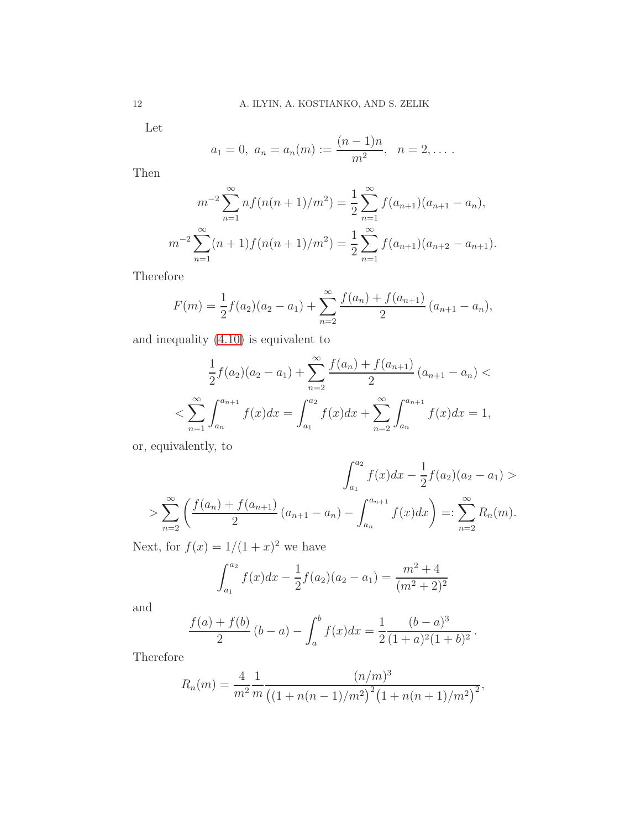Let

$$
a_1 = 0
$$
,  $a_n = a_n(m) := \frac{(n-1)n}{m^2}$ ,  $n = 2, ...$ 

Then

$$
m^{-2} \sum_{n=1}^{\infty} n f(n(n+1)/m^2) = \frac{1}{2} \sum_{n=1}^{\infty} f(a_{n+1})(a_{n+1} - a_n),
$$
  

$$
m^{-2} \sum_{n=1}^{\infty} (n+1) f(n(n+1)/m^2) = \frac{1}{2} \sum_{n=1}^{\infty} f(a_{n+1})(a_{n+2} - a_{n+1}).
$$

Therefore

$$
F(m) = \frac{1}{2}f(a_2)(a_2 - a_1) + \sum_{n=2}^{\infty} \frac{f(a_n) + f(a_{n+1})}{2} (a_{n+1} - a_n),
$$

and inequality [\(4.10\)](#page-10-1) is equivalent to

$$
\frac{1}{2}f(a_2)(a_2 - a_1) + \sum_{n=2}^{\infty} \frac{f(a_n) + f(a_{n+1})}{2} (a_{n+1} - a_n) \n< \sum_{n=1}^{\infty} \int_{a_n}^{a_{n+1}} f(x)dx = \int_{a_1}^{a_2} f(x)dx + \sum_{n=2}^{\infty} \int_{a_n}^{a_{n+1}} f(x)dx = 1,
$$

or, equivalently, to

$$
\int_{a_1}^{a_2} f(x)dx - \frac{1}{2}f(a_2)(a_2 - a_1) >
$$
  
> 
$$
\sum_{n=2}^{\infty} \left( \frac{f(a_n) + f(a_{n+1})}{2} (a_{n+1} - a_n) - \int_{a_n}^{a_{n+1}} f(x)dx \right) =: \sum_{n=2}^{\infty} R_n(m).
$$

Next, for  $f(x) = 1/(1+x)^2$  we have

$$
\int_{a_1}^{a_2} f(x)dx - \frac{1}{2}f(a_2)(a_2 - a_1) = \frac{m^2 + 4}{(m^2 + 2)^2}
$$

and

$$
\frac{f(a) + f(b)}{2} (b - a) - \int_a^b f(x) dx = \frac{1}{2} \frac{(b - a)^3}{(1 + a)^2 (1 + b)^2}.
$$

Therefore

$$
R_n(m) = \frac{4}{m^2} \frac{1}{m} \frac{(n/m)^3}{((1+n(n-1)/m^2)^2 (1+n(n+1)/m^2)^2},
$$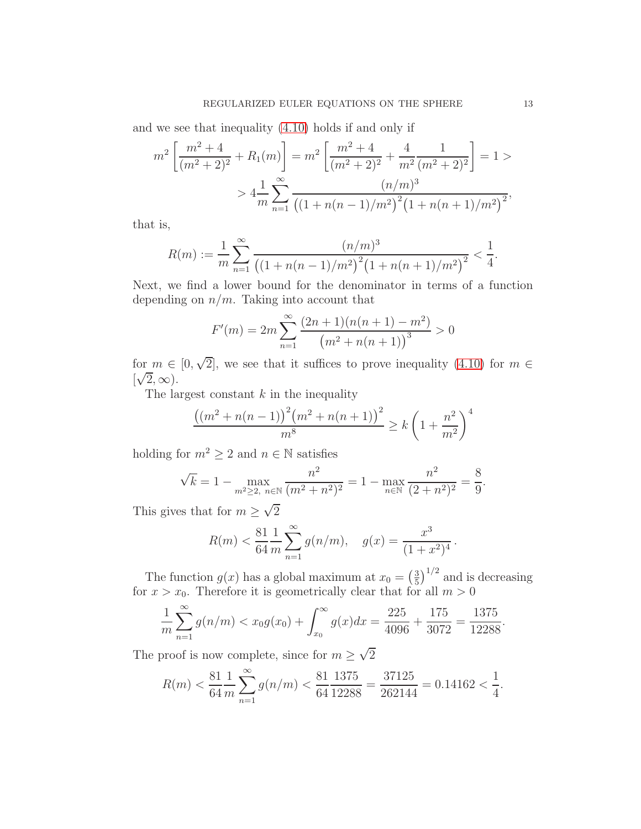and we see that inequality [\(4.10\)](#page-10-1) holds if and only if

$$
m^{2} \left[ \frac{m^{2} + 4}{(m^{2} + 2)^{2}} + R_{1}(m) \right] = m^{2} \left[ \frac{m^{2} + 4}{(m^{2} + 2)^{2}} + \frac{4}{m^{2}} \frac{1}{(m^{2} + 2)^{2}} \right] = 1 >
$$
  
>  $4 \frac{1}{m} \sum_{n=1}^{\infty} \frac{(n/m)^{3}}{((1 + n(n - 1)/m^{2})^{2}(1 + n(n + 1)/m^{2})^{2})},$ 

that is,

$$
R(m) := \frac{1}{m} \sum_{n=1}^{\infty} \frac{(n/m)^3}{\left( (1 + n(n-1)/m^2)^2 (1 + n(n+1)/m^2)^2 \right)^2} < \frac{1}{4}.
$$

Next, we find a lower bound for the denominator in terms of a function depending on  $n/m$ . Taking into account that

$$
F'(m) = 2m \sum_{n=1}^{\infty} \frac{(2n+1)(n(n+1) - m^2)}{(m^2 + n(n+1))^3} > 0
$$

for  $m \in [0, \sqrt{2}]$ , we see that it suffices to prove inequality [\(4.10\)](#page-10-1) for  $m \in \mathbb{R}$  $\left[\sqrt{2}, \infty\right)$ .

The largest constant  $k$  in the inequality

$$
\frac{((m^2 + n(n-1))^{2}(m^2 + n(n+1))^{2}}{m^8} \ge k\left(1 + \frac{n^2}{m^2}\right)^4
$$

holding for  $m^2 \geq 2$  and  $n \in \mathbb{N}$  satisfies

$$
\sqrt{k} = 1 - \max_{m^2 \ge 2, n \in \mathbb{N}} \frac{n^2}{(m^2 + n^2)^2} = 1 - \max_{n \in \mathbb{N}} \frac{n^2}{(2 + n^2)^2} = \frac{8}{9}.
$$

This gives that for  $m \geq \sqrt{2}$ 

$$
R(m) < \frac{81}{64} \frac{1}{m} \sum_{n=1}^{\infty} g(n/m), \quad g(x) = \frac{x^3}{(1+x^2)^4}.
$$

The function  $g(x)$  has a global maximum at  $x_0 = \left(\frac{3}{5}\right)$  $\frac{3}{5}$ )<sup>1/2</sup> and is decreasing for  $x > x_0$ . Therefore it is geometrically clear that for all  $m > 0$ 

$$
\frac{1}{m}\sum_{n=1}^{\infty}g(n/m) < x_0g(x_0) + \int_{x_0}^{\infty}g(x)dx = \frac{225}{4096} + \frac{175}{3072} = \frac{1375}{12288}.
$$

The proof is now complete, since for  $m \geq \sqrt{2}$ 

$$
R(m) < \frac{81}{64} \frac{1}{m} \sum_{n=1}^{\infty} g(n/m) < \frac{81}{64} \frac{1375}{12288} = \frac{37125}{262144} = 0.14162 < \frac{1}{4}.
$$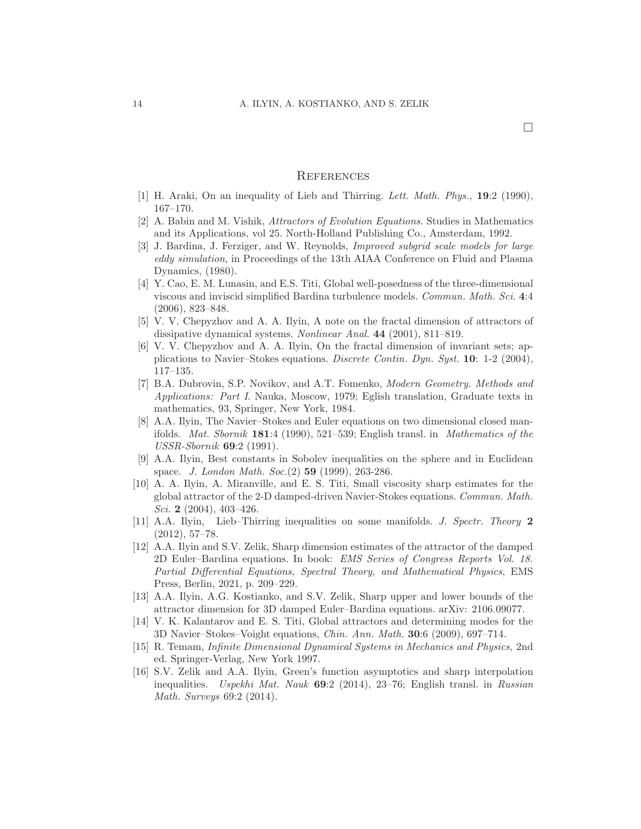#### **REFERENCES**

- <span id="page-13-12"></span><span id="page-13-7"></span>[1] H. Araki, On an inequality of Lieb and Thirring. Lett. Math. Phys., 19:2 (1990), 167–170.
- <span id="page-13-0"></span>[2] A. Babin and M. Vishik, Attractors of Evolution Equations. Studies in Mathematics and its Applications, vol 25. North-Holland Publishing Co., Amsterdam, 1992.
- [3] J. Bardina, J. Ferziger, and W. Reynolds, Improved subgrid scale models for large eddy simulation, in Proceedings of the 13th AIAA Conference on Fluid and Plasma Dynamics, (1980).
- <span id="page-13-1"></span>[4] Y. Cao, E. M. Lunasin, and E.S. Titi, Global well-posedness of the three-dimensional viscous and inviscid simplified Bardina turbulence models. Commun. Math. Sci. 4:4 (2006), 823–848.
- <span id="page-13-10"></span>[5] V. V. Chepyzhov and A. A. Ilyin, A note on the fractal dimension of attractors of dissipative dynamical systems. Nonlinear Anal. 44 (2001), 811–819.
- <span id="page-13-11"></span>[6] V. V. Chepyzhov and A. A. Ilyin, On the fractal dimension of invariant sets; applications to Navier–Stokes equations. Discrete Contin. Dyn. Syst. 10: 1-2 (2004), 117–135.
- <span id="page-13-6"></span>[7] B.A. Dubrovin, S.P. Novikov, and A.T. Fomenko, Modern Geometry. Methods and Applications: Part I. Nauka, Moscow, 1979; Eglish translation, Graduate texts in mathematics, 93, Springer, New York, 1984.
- <span id="page-13-5"></span>[8] A.A. Ilyin, The Navier–Stokes and Euler equations on two dimensional closed manifolds. Mat. Sbornik 181:4 (1990), 521–539; English transl. in Mathematics of the USSR-Sbornik 69:2 (1991).
- <span id="page-13-14"></span>[9] A.A. Ilyin, Best constants in Sobolev inequalities on the sphere and in Euclidean space. J. London Math. Soc. (2) 59 (1999), 263-286.
- <span id="page-13-9"></span>[10] A. A. Ilyin, A. Miranville, and E. S. Titi, Small viscosity sharp estimates for the global attractor of the 2-D damped-driven Navier-Stokes equations. Commun. Math. Sci. 2  $(2004)$ , 403-426.
- <span id="page-13-15"></span>[11] A.A. Ilyin, Lieb–Thirring inequalities on some manifolds. J. Spectr. Theory 2 (2012), 57–78.
- <span id="page-13-3"></span>[12] A.A. Ilyin and S.V. Zelik, Sharp dimension estimates of the attractor of the damped 2D Euler–Bardina equations. In book: EMS Series of Congress Reports Vol. 18. Partial Differential Equations, Spectral Theory, and Mathematical Physics, EMS Press, Berlin, 2021, p. 209–229.
- <span id="page-13-4"></span>[13] A.A. Ilyin, A.G. Kostianko, and S.V. Zelik, Sharp upper and lower bounds of the attractor dimension for 3D damped Euler–Bardina equations. arXiv: 2106.09077.
- <span id="page-13-2"></span>[14] V. K. Kalantarov and E. S. Titi, Global attractors and determining modes for the 3D Navier–Stokes–Voight equations, Chin. Ann. Math. 30:6 (2009), 697–714.
- <span id="page-13-8"></span>[15] R. Temam, Infinite Dimensional Dynamical Systems in Mechanics and Physics, 2nd ed. Springer-Verlag, New York 1997.
- <span id="page-13-13"></span>[16] S.V. Zelik and A.A. Ilyin, Green's function asymptotics and sharp interpolation inequalities. Uspekhi Mat. Nauk  $69:2$  (2014), 23-76; English transl. in Russian Math. Surveys 69:2 (2014).